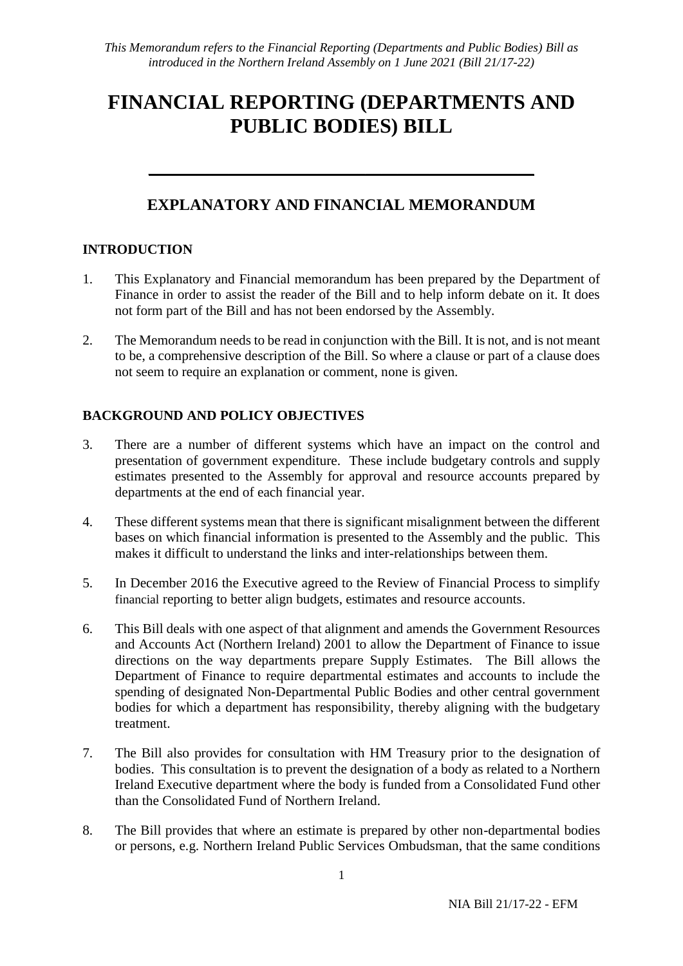# **FINANCIAL REPORTING (DEPARTMENTS AND PUBLIC BODIES) BILL**

# **EXPLANATORY AND FINANCIAL MEMORANDUM**

\_\_\_\_\_\_\_\_\_\_\_\_\_\_\_\_\_\_\_\_\_\_\_\_\_\_\_\_\_\_\_\_\_\_\_\_\_\_\_\_\_\_\_\_\_\_\_\_

# **INTRODUCTION**

- 1. This Explanatory and Financial memorandum has been prepared by the Department of Finance in order to assist the reader of the Bill and to help inform debate on it. It does not form part of the Bill and has not been endorsed by the Assembly.
- 2. The Memorandum needs to be read in conjunction with the Bill. It is not, and is not meant to be, a comprehensive description of the Bill. So where a clause or part of a clause does not seem to require an explanation or comment, none is given.

# **BACKGROUND AND POLICY OBJECTIVES**

- 3. There are a number of different systems which have an impact on the control and presentation of government expenditure. These include budgetary controls and supply estimates presented to the Assembly for approval and resource accounts prepared by departments at the end of each financial year.
- 4. These different systems mean that there is significant misalignment between the different bases on which financial information is presented to the Assembly and the public. This makes it difficult to understand the links and inter-relationships between them.
- 5. In December 2016 the Executive agreed to the Review of Financial Process to simplify financial reporting to better align budgets, estimates and resource accounts.
- 6. This Bill deals with one aspect of that alignment and amends the Government Resources and Accounts Act (Northern Ireland) 2001 to allow the Department of Finance to issue directions on the way departments prepare Supply Estimates. The Bill allows the Department of Finance to require departmental estimates and accounts to include the spending of designated Non-Departmental Public Bodies and other central government bodies for which a department has responsibility, thereby aligning with the budgetary treatment.
- 7. The Bill also provides for consultation with HM Treasury prior to the designation of bodies. This consultation is to prevent the designation of a body as related to a Northern Ireland Executive department where the body is funded from a Consolidated Fund other than the Consolidated Fund of Northern Ireland.
- 8. The Bill provides that where an estimate is prepared by other non-departmental bodies or persons, e.g. Northern Ireland Public Services Ombudsman, that the same conditions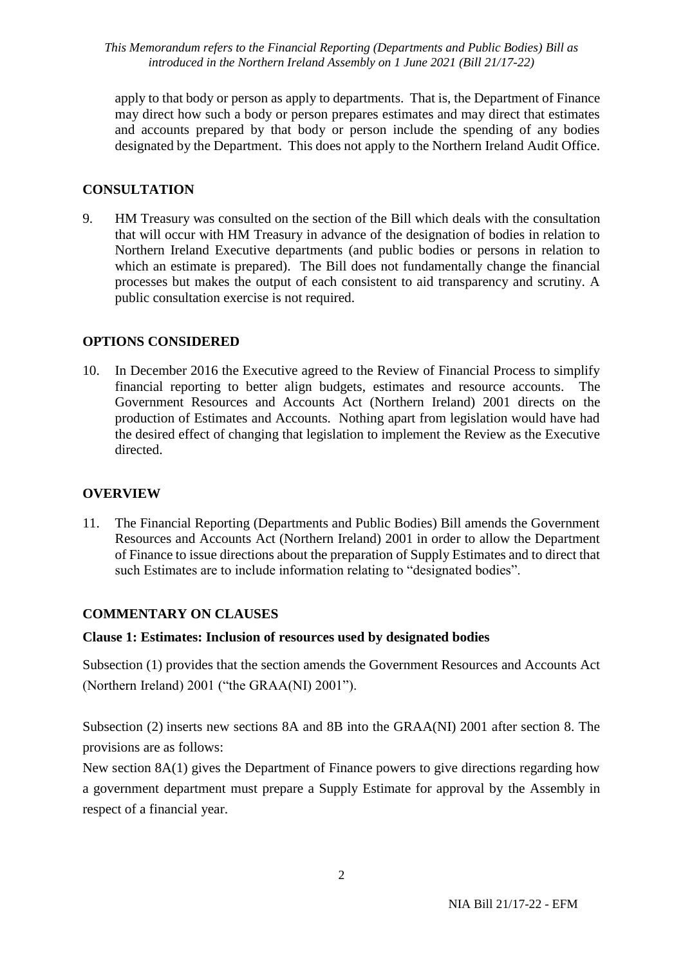*This Memorandum refers to the Financial Reporting (Departments and Public Bodies) Bill as introduced in the Northern Ireland Assembly on 1 June 2021 (Bill 21/17-22)*

apply to that body or person as apply to departments. That is, the Department of Finance may direct how such a body or person prepares estimates and may direct that estimates and accounts prepared by that body or person include the spending of any bodies designated by the Department. This does not apply to the Northern Ireland Audit Office.

## **CONSULTATION**

9. HM Treasury was consulted on the section of the Bill which deals with the consultation that will occur with HM Treasury in advance of the designation of bodies in relation to Northern Ireland Executive departments (and public bodies or persons in relation to which an estimate is prepared). The Bill does not fundamentally change the financial processes but makes the output of each consistent to aid transparency and scrutiny. A public consultation exercise is not required.

### **OPTIONS CONSIDERED**

10. In December 2016 the Executive agreed to the Review of Financial Process to simplify financial reporting to better align budgets, estimates and resource accounts. The Government Resources and Accounts Act (Northern Ireland) 2001 directs on the production of Estimates and Accounts. Nothing apart from legislation would have had the desired effect of changing that legislation to implement the Review as the Executive directed.

### **OVERVIEW**

11. The Financial Reporting (Departments and Public Bodies) Bill amends the Government Resources and Accounts Act (Northern Ireland) 2001 in order to allow the Department of Finance to issue directions about the preparation of Supply Estimates and to direct that such Estimates are to include information relating to "designated bodies".

### **COMMENTARY ON CLAUSES**

#### **Clause 1: Estimates: Inclusion of resources used by designated bodies**

Subsection [\(1\)](https://www.legislation.gov.uk/ukpga/2010/25/section/43/1) provides that the section amends the Government Resources and Accounts Act (Northern Ireland) 2001 ("the GRAA(NI) 2001").

Subsection [\(2\)](https://www.legislation.gov.uk/ukpga/2010/25/section/43/2) inserts new sections 8A and 8B into the GRAA(NI) 2001 after section 8. The provisions are as follows:

New section 8A(1) gives the Department of Finance powers to give directions regarding how a government department must prepare a Supply Estimate for approval by the Assembly in respect of a financial year.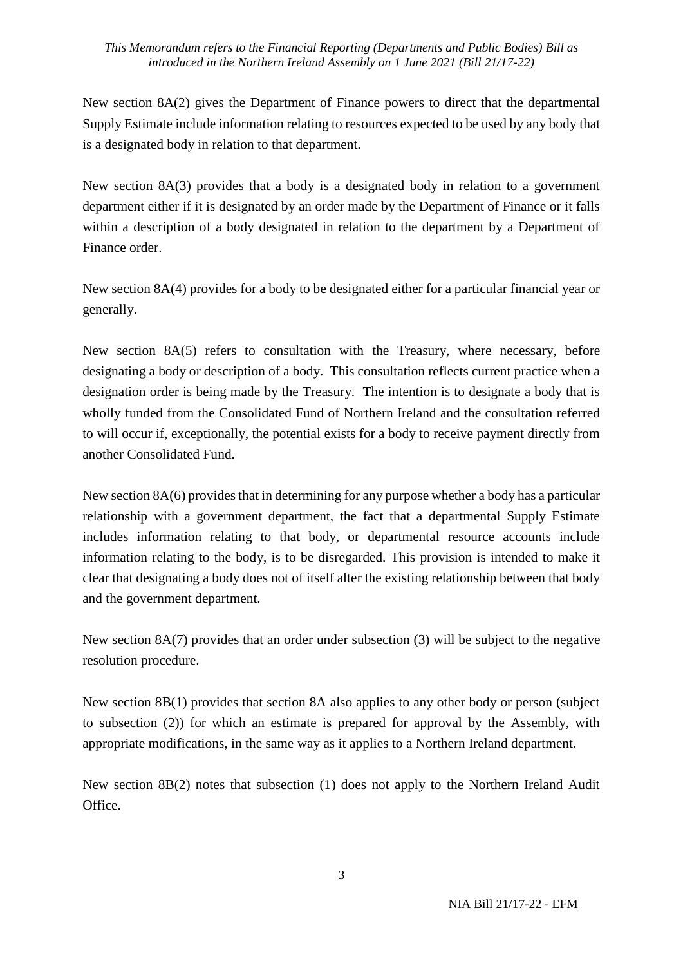#### *This Memorandum refers to the Financial Reporting (Departments and Public Bodies) Bill as introduced in the Northern Ireland Assembly on 1 June 2021 (Bill 21/17-22)*

New section 8A(2) gives the Department of Finance powers to direct that the departmental Supply Estimate include information relating to resources expected to be used by any body that is a designated body in relation to that department.

New section 8A(3) provides that a body is a designated body in relation to a government department either if it is designated by an order made by the Department of Finance or it falls within a description of a body designated in relation to the department by a Department of Finance order.

New section 8A(4) provides for a body to be designated either for a particular financial year or generally.

New section 8A(5) refers to consultation with the Treasury, where necessary, before designating a body or description of a body. This consultation reflects current practice when a designation order is being made by the Treasury. The intention is to designate a body that is wholly funded from the Consolidated Fund of Northern Ireland and the consultation referred to will occur if, exceptionally, the potential exists for a body to receive payment directly from another Consolidated Fund.

New section 8A(6) provides that in determining for any purpose whether a body has a particular relationship with a government department, the fact that a departmental Supply Estimate includes information relating to that body, or departmental resource accounts include information relating to the body, is to be disregarded. This provision is intended to make it clear that designating a body does not of itself alter the existing relationship between that body and the government department.

New section 8A(7) provides that an order under subsection (3) will be subject to the negative resolution procedure.

New section 8B(1) provides that section 8A also applies to any other body or person (subject to subsection (2)) for which an estimate is prepared for approval by the Assembly, with appropriate modifications, in the same way as it applies to a Northern Ireland department.

New section 8B(2) notes that subsection (1) does not apply to the Northern Ireland Audit Office.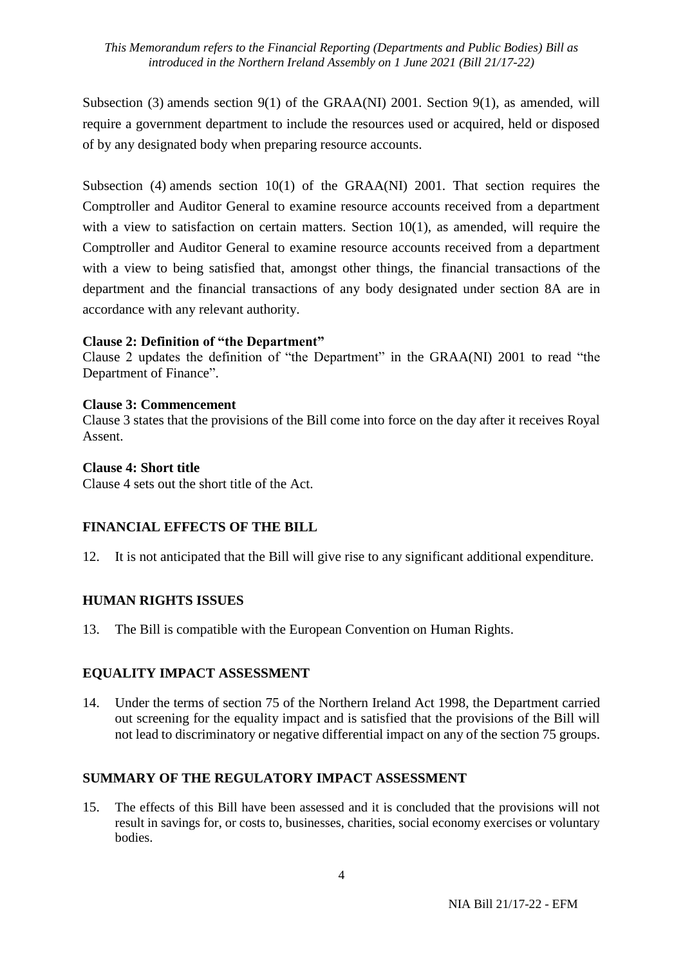#### *This Memorandum refers to the Financial Reporting (Departments and Public Bodies) Bill as introduced in the Northern Ireland Assembly on 1 June 2021 (Bill 21/17-22)*

Subsection [\(3\)](https://www.legislation.gov.uk/ukpga/2010/25/section/43/3) amends section 9(1) of the GRAA(NI) 2001. Section 9(1), as amended, will require a government department to include the resources used or acquired, held or disposed of by any designated body when preparing resource accounts.

Subsection [\(4\)](https://www.legislation.gov.uk/ukpga/2010/25/section/43/4) amends section 10(1) of the GRAA(NI) 2001. That section requires the Comptroller and Auditor General to examine resource accounts received from a department with a view to satisfaction on certain matters. Section 10(1), as amended, will require the Comptroller and Auditor General to examine resource accounts received from a department with a view to being satisfied that, amongst other things, the financial transactions of the department and the financial transactions of any body designated under section 8A are in accordance with any relevant authority.

### **Clause 2: Definition of "the Department"**

Clause 2 updates the definition of "the Department" in the GRAA(NI) 2001 to read "the Department of Finance".

#### **Clause 3: Commencement**

Clause 3 states that the provisions of the Bill come into force on the day after it receives Royal Assent.

#### **Clause 4: Short title**

Clause 4 sets out the short title of the Act.

### **FINANCIAL EFFECTS OF THE BILL**

12. It is not anticipated that the Bill will give rise to any significant additional expenditure.

### **HUMAN RIGHTS ISSUES**

13. The Bill is compatible with the European Convention on Human Rights.

### **EQUALITY IMPACT ASSESSMENT**

14. Under the terms of section 75 of the Northern Ireland Act 1998, the Department carried out screening for the equality impact and is satisfied that the provisions of the Bill will not lead to discriminatory or negative differential impact on any of the section 75 groups.

### **SUMMARY OF THE REGULATORY IMPACT ASSESSMENT**

15. The effects of this Bill have been assessed and it is concluded that the provisions will not result in savings for, or costs to, businesses, charities, social economy exercises or voluntary bodies.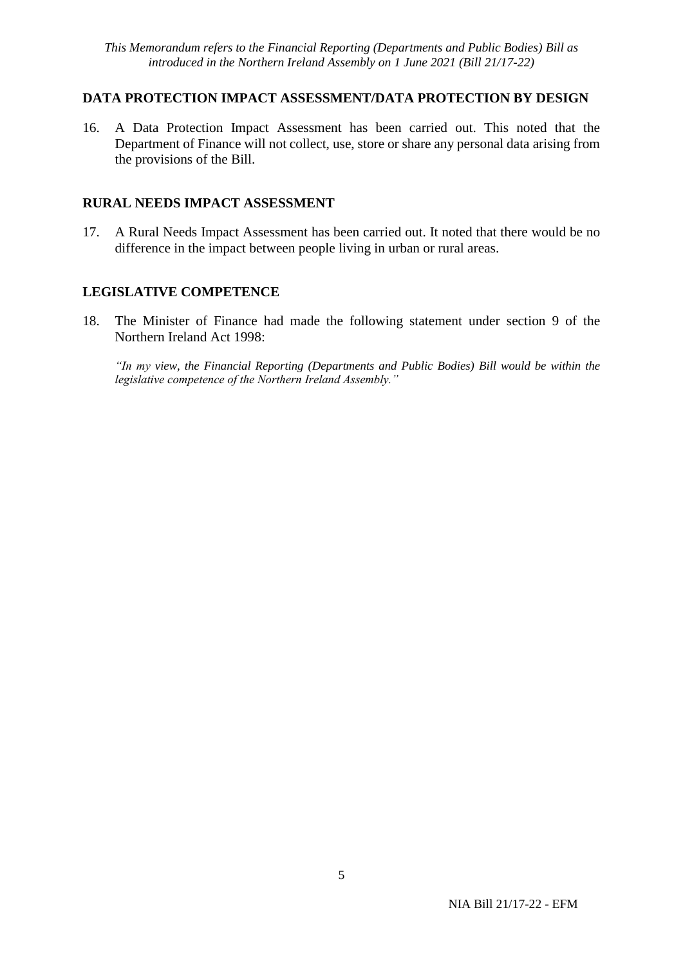## **DATA PROTECTION IMPACT ASSESSMENT/DATA PROTECTION BY DESIGN**

16. A Data Protection Impact Assessment has been carried out. This noted that the Department of Finance will not collect, use, store or share any personal data arising from the provisions of the Bill.

# **RURAL NEEDS IMPACT ASSESSMENT**

17. A Rural Needs Impact Assessment has been carried out. It noted that there would be no difference in the impact between people living in urban or rural areas.

## **LEGISLATIVE COMPETENCE**

18. The Minister of Finance had made the following statement under section 9 of the Northern Ireland Act 1998:

*"In my view, the Financial Reporting (Departments and Public Bodies) Bill would be within the legislative competence of the Northern Ireland Assembly."*